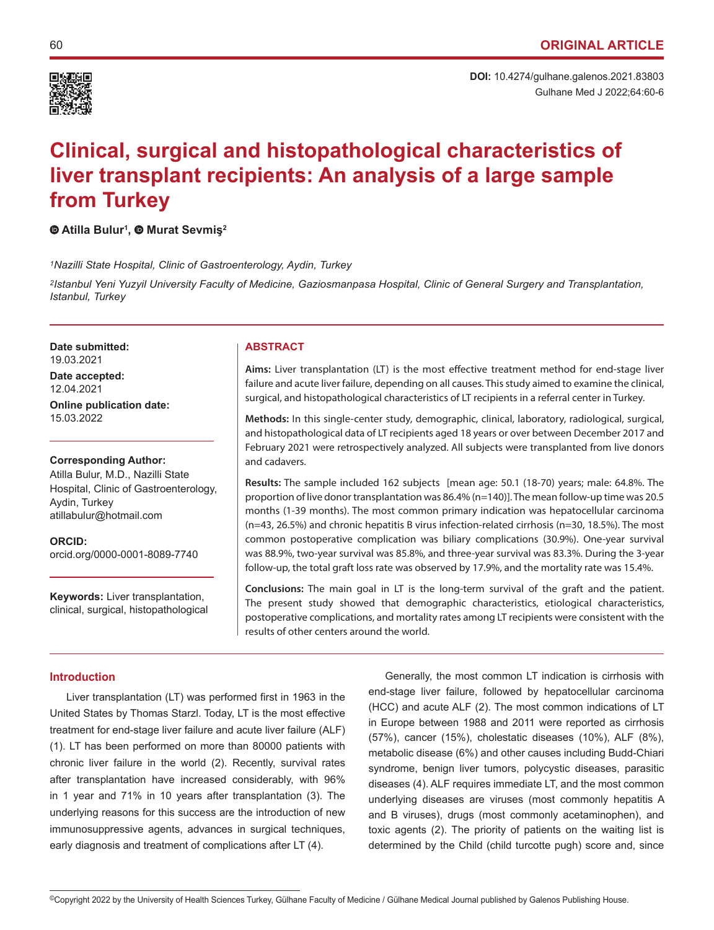

# **Clinical, surgical and histopathological characteristics of liver transplant recipients: An analysis of a large sample from Turkey**

## **Atilla Bulur1 ,Murat Sevmiş<sup>2</sup>**

*1Nazilli State Hospital, Clinic of Gastroenterology, Aydin, Turkey*

*2Istanbul Yeni Yuzyil University Faculty of Medicine, Gaziosmanpasa Hospital, Clinic of General Surgery and Transplantation, Istanbul, Turkey*

**Date submitted: ABSTRACT** 19.03.2021

**Date accepted:** 12.04.2021

**Online publication date:** 15.03.2022

**Corresponding Author:**

Atilla Bulur, M.D., Nazilli State Hospital, Clinic of Gastroenterology, Aydin, Turkey atillabulur@hotmail.com

**ORCID:**  orcid.org/0000-0001-8089-7740

**Keywords:** Liver transplantation, clinical, surgical, histopathological

**Aims:** Liver transplantation (LT) is the most effective treatment method for end-stage liver failure and acute liver failure, depending on all causes. This study aimed to examine the clinical, surgical, and histopathological characteristics of LT recipients in a referral center in Turkey.

**Methods:** In this single-center study, demographic, clinical, laboratory, radiological, surgical, and histopathological data of LT recipients aged 18 years or over between December 2017 and February 2021 were retrospectively analyzed. All subjects were transplanted from live donors and cadavers.

**Results:** The sample included 162 subjects [mean age: 50.1 (18-70) years; male: 64.8%. The proportion of live donor transplantation was 86.4% (n=140)]. The mean follow-up time was 20.5 months (1-39 months). The most common primary indication was hepatocellular carcinoma (n=43, 26.5%) and chronic hepatitis B virus infection-related cirrhosis (n=30, 18.5%). The most common postoperative complication was biliary complications (30.9%). One-year survival was 88.9%, two-year survival was 85.8%, and three-year survival was 83.3%. During the 3-year follow-up, the total graft loss rate was observed by 17.9%, and the mortality rate was 15.4%.

**Conclusions:** The main goal in LT is the long-term survival of the graft and the patient. The present study showed that demographic characteristics, etiological characteristics, postoperative complications, and mortality rates among LT recipients were consistent with the results of other centers around the world.

### **Introduction**

Liver transplantation (LT) was performed first in 1963 in the United States by Thomas Starzl. Today, LT is the most effective treatment for end-stage liver failure and acute liver failure (ALF) (1). LT has been performed on more than 80000 patients with chronic liver failure in the world (2). Recently, survival rates after transplantation have increased considerably, with 96% in 1 year and 71% in 10 years after transplantation (3). The underlying reasons for this success are the introduction of new immunosuppressive agents, advances in surgical techniques, early diagnosis and treatment of complications after LT (4).

Generally, the most common LT indication is cirrhosis with end-stage liver failure, followed by hepatocellular carcinoma (HCC) and acute ALF (2). The most common indications of LT in Europe between 1988 and 2011 were reported as cirrhosis (57%), cancer (15%), cholestatic diseases (10%), ALF (8%), metabolic disease (6%) and other causes including Budd-Chiari syndrome, benign liver tumors, polycystic diseases, parasitic diseases (4). ALF requires immediate LT, and the most common underlying diseases are viruses (most commonly hepatitis A and B viruses), drugs (most commonly acetaminophen), and toxic agents (2). The priority of patients on the waiting list is determined by the Child (child turcotte pugh) score and, since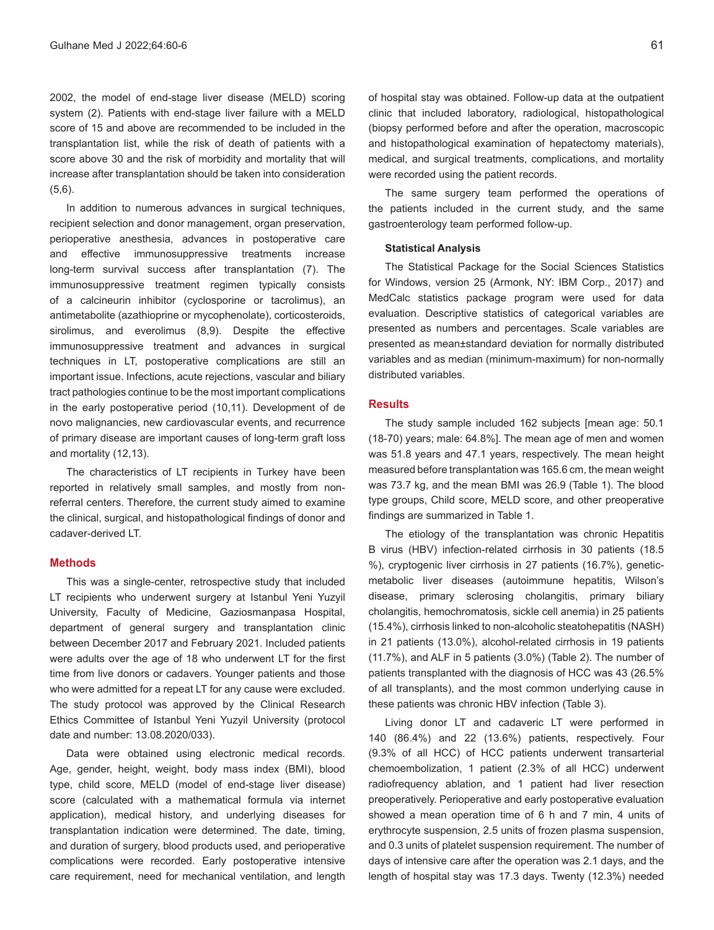2002, the model of end-stage liver disease (MELD) scoring system (2). Patients with end-stage liver failure with a MELD score of 15 and above are recommended to be included in the transplantation list, while the risk of death of patients with a score above 30 and the risk of morbidity and mortality that will increase after transplantation should be taken into consideration (5,6).

In addition to numerous advances in surgical techniques, recipient selection and donor management, organ preservation, perioperative anesthesia, advances in postoperative care and effective immunosuppressive treatments increase long-term survival success after transplantation (7). The immunosuppressive treatment regimen typically consists of a calcineurin inhibitor (cyclosporine or tacrolimus), an antimetabolite (azathioprine or mycophenolate), corticosteroids, sirolimus, and everolimus (8,9). Despite the effective immunosuppressive treatment and advances in surgical techniques in LT, postoperative complications are still an important issue. Infections, acute rejections, vascular and biliary tract pathologies continue to be the most important complications in the early postoperative period (10,11). Development of de novo malignancies, new cardiovascular events, and recurrence of primary disease are important causes of long-term graft loss and mortality (12,13).

The characteristics of LT recipients in Turkey have been reported in relatively small samples, and mostly from nonreferral centers. Therefore, the current study aimed to examine the clinical, surgical, and histopathological findings of donor and cadaver-derived LT.

### **Methods**

This was a single-center, retrospective study that included LT recipients who underwent surgery at Istanbul Yeni Yuzyil University, Faculty of Medicine, Gaziosmanpasa Hospital, department of general surgery and transplantation clinic between December 2017 and February 2021. Included patients were adults over the age of 18 who underwent LT for the first time from live donors or cadavers. Younger patients and those who were admitted for a repeat LT for any cause were excluded. The study protocol was approved by the Clinical Research Ethics Committee of Istanbul Yeni Yuzyil University (protocol date and number: 13.08.2020/033).

Data were obtained using electronic medical records. Age, gender, height, weight, body mass index (BMI), blood type, child score, MELD (model of end-stage liver disease) score (calculated with a mathematical formula via internet application), medical history, and underlying diseases for transplantation indication were determined. The date, timing, and duration of surgery, blood products used, and perioperative complications were recorded. Early postoperative intensive care requirement, need for mechanical ventilation, and length

of hospital stay was obtained. Follow-up data at the outpatient clinic that included laboratory, radiological, histopathological (biopsy performed before and after the operation, macroscopic and histopathological examination of hepatectomy materials), medical, and surgical treatments, complications, and mortality were recorded using the patient records.

The same surgery team performed the operations of the patients included in the current study, and the same gastroenterology team performed follow-up.

#### **Statistical Analysis**

The Statistical Package for the Social Sciences Statistics for Windows, version 25 (Armonk, NY: IBM Corp., 2017) and MedCalc statistics package program were used for data evaluation. Descriptive statistics of categorical variables are presented as numbers and percentages. Scale variables are presented as mean±standard deviation for normally distributed variables and as median (minimum-maximum) for non-normally distributed variables.

### **Results**

The study sample included 162 subjects [mean age: 50.1 (18-70) years; male: 64.8%]. The mean age of men and women was 51.8 years and 47.1 years, respectively. The mean height measured before transplantation was 165.6 cm, the mean weight was 73.7 kg, and the mean BMI was 26.9 (Table 1). The blood type groups, Child score, MELD score, and other preoperative findings are summarized in Table 1.

The etiology of the transplantation was chronic Hepatitis B virus (HBV) infection-related cirrhosis in 30 patients (18.5 %), cryptogenic liver cirrhosis in 27 patients (16.7%), geneticmetabolic liver diseases (autoimmune hepatitis, Wilson's disease, primary sclerosing cholangitis, primary biliary cholangitis, hemochromatosis, sickle cell anemia) in 25 patients (15.4%), cirrhosis linked to non-alcoholic steatohepatitis (NASH) in 21 patients (13.0%), alcohol-related cirrhosis in 19 patients (11.7%), and ALF in 5 patients (3.0%) (Table 2). The number of patients transplanted with the diagnosis of HCC was 43 (26.5% of all transplants), and the most common underlying cause in these patients was chronic HBV infection (Table 3).

Living donor LT and cadaveric LT were performed in 140 (86.4%) and 22 (13.6%) patients, respectively. Four (9.3% of all HCC) of HCC patients underwent transarterial chemoembolization, 1 patient (2.3% of all HCC) underwent radiofrequency ablation, and 1 patient had liver resection preoperatively. Perioperative and early postoperative evaluation showed a mean operation time of 6 h and 7 min, 4 units of erythrocyte suspension, 2.5 units of frozen plasma suspension, and 0.3 units of platelet suspension requirement. The number of days of intensive care after the operation was 2.1 days, and the length of hospital stay was 17.3 days. Twenty (12.3%) needed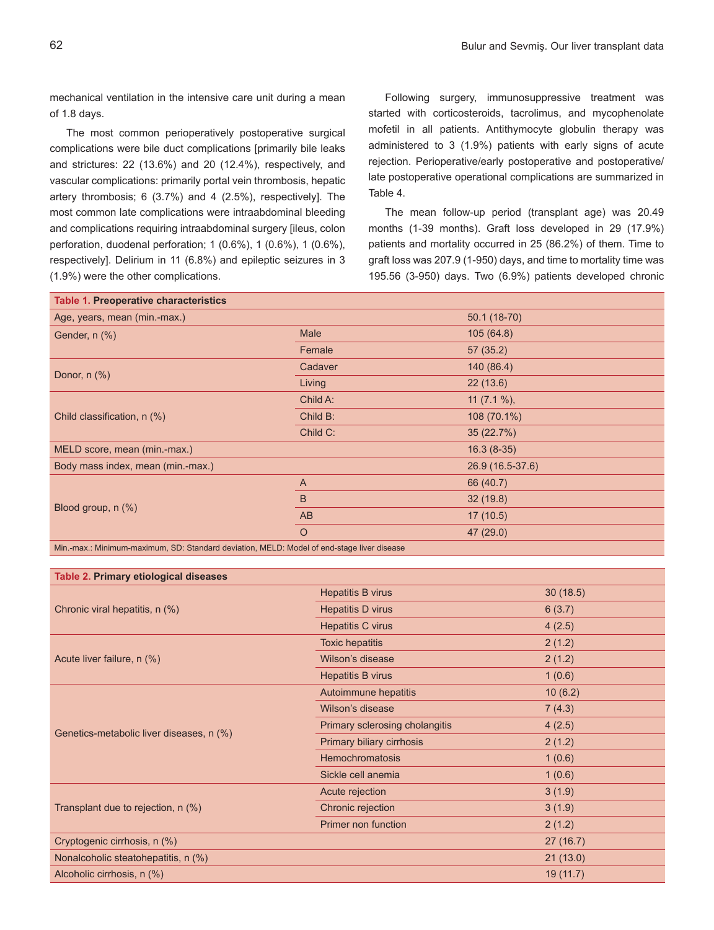mechanical ventilation in the intensive care unit during a mean of 1.8 days.

The most common perioperatively postoperative surgical complications were bile duct complications [primarily bile leaks and strictures: 22 (13.6%) and 20 (12.4%), respectively, and vascular complications: primarily portal vein thrombosis, hepatic artery thrombosis; 6 (3.7%) and 4 (2.5%), respectively]. The most common late complications were intraabdominal bleeding and complications requiring intraabdominal surgery [ileus, colon perforation, duodenal perforation; 1 (0.6%), 1 (0.6%), 1 (0.6%), respectively]. Delirium in 11 (6.8%) and epileptic seizures in 3 (1.9%) were the other complications.

Following surgery, immunosuppressive treatment was started with corticosteroids, tacrolimus, and mycophenolate mofetil in all patients. Antithymocyte globulin therapy was administered to 3 (1.9%) patients with early signs of acute rejection. Perioperative/early postoperative and postoperative/ late postoperative operational complications are summarized in Table 4.

The mean follow-up period (transplant age) was 20.49 months (1-39 months). Graft loss developed in 29 (17.9%) patients and mortality occurred in 25 (86.2%) of them. Time to graft loss was 207.9 (1-950) days, and time to mortality time was 195.56 (3-950) days. Two (6.9%) patients developed chronic

| Table 1. Preoperative characteristics                                                   |              |                  |  |  |
|-----------------------------------------------------------------------------------------|--------------|------------------|--|--|
| Age, years, mean (min.-max.)                                                            |              | 50.1 (18-70)     |  |  |
| Gender, n (%)                                                                           | <b>Male</b>  | 105(64.8)        |  |  |
|                                                                                         | Female       | 57(35.2)         |  |  |
| Donor, n (%)                                                                            | Cadaver      | 140 (86.4)       |  |  |
|                                                                                         | Living       | 22(13.6)         |  |  |
| Child classification, n (%)                                                             | Child A:     | 11 $(7.1\%)$ ,   |  |  |
|                                                                                         | Child B:     | 108 (70.1%)      |  |  |
|                                                                                         | Child C:     | 35(22.7%)        |  |  |
| MELD score, mean (min.-max.)                                                            |              | $16.3(8-35)$     |  |  |
| Body mass index, mean (min.-max.)                                                       |              | 26.9 (16.5-37.6) |  |  |
| Blood group, n (%)                                                                      | $\mathsf{A}$ | 66 (40.7)        |  |  |
|                                                                                         | B            | 32(19.8)         |  |  |
|                                                                                         | AB           | 17(10.5)         |  |  |
|                                                                                         | $\circ$      | 47(29.0)         |  |  |
| Min mou : Minimum movimum CD: Ctondord doviotion MELD: Model of and otogo liver diogram |              |                  |  |  |

Min.-max.: Minimum-maximum, SD: Standard deviation, MELD: Model of end-stage liver disease

| Table 2. Primary etiological diseases    |                                |           |  |  |
|------------------------------------------|--------------------------------|-----------|--|--|
|                                          | <b>Hepatitis B virus</b>       | 30(18.5)  |  |  |
| Chronic viral hepatitis, n (%)           | Hepatitis D virus              | 6(3.7)    |  |  |
|                                          | <b>Hepatitis C virus</b>       | 4(2.5)    |  |  |
|                                          | <b>Toxic hepatitis</b>         | 2(1.2)    |  |  |
| Acute liver failure, n (%)               | Wilson's disease               | 2(1.2)    |  |  |
|                                          | Hepatitis B virus              | 1(0.6)    |  |  |
|                                          | Autoimmune hepatitis           | 10(6.2)   |  |  |
|                                          | Wilson's disease               | 7(4.3)    |  |  |
| Genetics-metabolic liver diseases, n (%) | Primary sclerosing cholangitis | 4(2.5)    |  |  |
|                                          | Primary biliary cirrhosis      | 2(1.2)    |  |  |
|                                          | <b>Hemochromatosis</b>         | 1(0.6)    |  |  |
|                                          | Sickle cell anemia             | 1(0.6)    |  |  |
|                                          | Acute rejection                | 3(1.9)    |  |  |
| Transplant due to rejection, n (%)       | Chronic rejection              | 3(1.9)    |  |  |
|                                          | Primer non function            | 2(1.2)    |  |  |
| Cryptogenic cirrhosis, n (%)             |                                | 27(16.7)  |  |  |
| Nonalcoholic steatohepatitis, n (%)      |                                | 21(13.0)  |  |  |
| Alcoholic cirrhosis, n (%)               |                                | 19 (11.7) |  |  |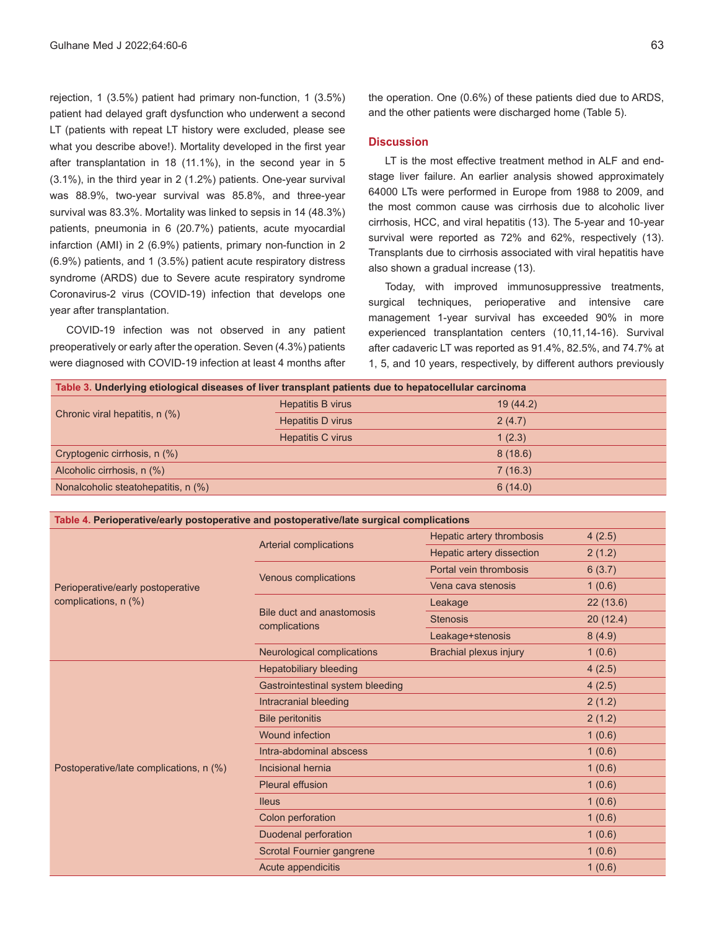rejection, 1 (3.5%) patient had primary non-function, 1 (3.5%) patient had delayed graft dysfunction who underwent a second LT (patients with repeat LT history were excluded, please see what you describe above!). Mortality developed in the first year after transplantation in 18 (11.1%), in the second year in 5 (3.1%), in the third year in 2 (1.2%) patients. One-year survival was 88.9%, two-year survival was 85.8%, and three-year survival was 83.3%. Mortality was linked to sepsis in 14 (48.3%) patients, pneumonia in 6 (20.7%) patients, acute myocardial infarction (AMI) in 2 (6.9%) patients, primary non-function in 2 (6.9%) patients, and 1 (3.5%) patient acute respiratory distress syndrome (ARDS) due to Severe acute respiratory syndrome Coronavirus-2 virus (COVID-19) infection that develops one year after transplantation.

COVID-19 infection was not observed in any patient preoperatively or early after the operation. Seven (4.3%) patients were diagnosed with COVID-19 infection at least 4 months after the operation. One (0.6%) of these patients died due to ARDS, and the other patients were discharged home (Table 5).

#### **Discussion**

LT is the most effective treatment method in ALF and endstage liver failure. An earlier analysis showed approximately 64000 LTs were performed in Europe from 1988 to 2009, and the most common cause was cirrhosis due to alcoholic liver cirrhosis, HCC, and viral hepatitis (13). The 5-year and 10-year survival were reported as 72% and 62%, respectively (13). Transplants due to cirrhosis associated with viral hepatitis have also shown a gradual increase (13).

Today, with improved immunosuppressive treatments, surgical techniques, perioperative and intensive care management 1-year survival has exceeded 90% in more experienced transplantation centers (10,11,14-16). Survival after cadaveric LT was reported as 91.4%, 82.5%, and 74.7% at 1, 5, and 10 years, respectively, by different authors previously

| Table 3. Underlying etiological diseases of liver transplant patients due to hepatocellular carcinoma |          |  |  |  |
|-------------------------------------------------------------------------------------------------------|----------|--|--|--|
| Hepatitis B virus                                                                                     | 19(44.2) |  |  |  |
| Hepatitis D virus                                                                                     | 2(4.7)   |  |  |  |
| Hepatitis C virus                                                                                     | 1(2.3)   |  |  |  |
|                                                                                                       | 8(18.6)  |  |  |  |
|                                                                                                       | 7(16.3)  |  |  |  |
|                                                                                                       | 6(14.0)  |  |  |  |
|                                                                                                       |          |  |  |  |

#### **Table 4. Perioperative/early postoperative and postoperative/late surgical complications**

| Perioperative/early postoperative<br>complications, n (%) |                                            | Hepatic artery thrombosis | 4(2.5)   |
|-----------------------------------------------------------|--------------------------------------------|---------------------------|----------|
|                                                           | Arterial complications                     | Hepatic artery dissection | 2(1.2)   |
|                                                           | Venous complications                       | Portal vein thrombosis    | 6(3.7)   |
|                                                           |                                            | Vena cava stenosis        | 1(0.6)   |
|                                                           | Bile duct and anastomosis<br>complications | Leakage                   | 22(13.6) |
|                                                           |                                            | <b>Stenosis</b>           | 20(12.4) |
|                                                           |                                            | Leakage+stenosis          | 8(4.9)   |
|                                                           | Neurological complications                 | Brachial plexus injury    | 1(0.6)   |
|                                                           | <b>Hepatobiliary bleeding</b>              |                           | 4(2.5)   |
|                                                           | Gastrointestinal system bleeding           |                           | 4(2.5)   |
|                                                           | Intracranial bleeding                      |                           | 2(1.2)   |
|                                                           | <b>Bile peritonitis</b>                    |                           | 2(1.2)   |
|                                                           | <b>Wound infection</b>                     |                           | 1(0.6)   |
| Postoperative/late complications, n (%)                   | Intra-abdominal abscess                    |                           | 1(0.6)   |
|                                                           | Incisional hernia                          |                           | 1(0.6)   |
|                                                           | <b>Pleural effusion</b>                    |                           | 1(0.6)   |
|                                                           | <b>Ileus</b>                               |                           | 1(0.6)   |
|                                                           | Colon perforation                          |                           | 1(0.6)   |
|                                                           | Duodenal perforation                       |                           | 1(0.6)   |
|                                                           | Scrotal Fournier gangrene                  |                           | 1(0.6)   |
|                                                           | Acute appendicitis                         |                           | 1(0.6)   |
|                                                           |                                            |                           |          |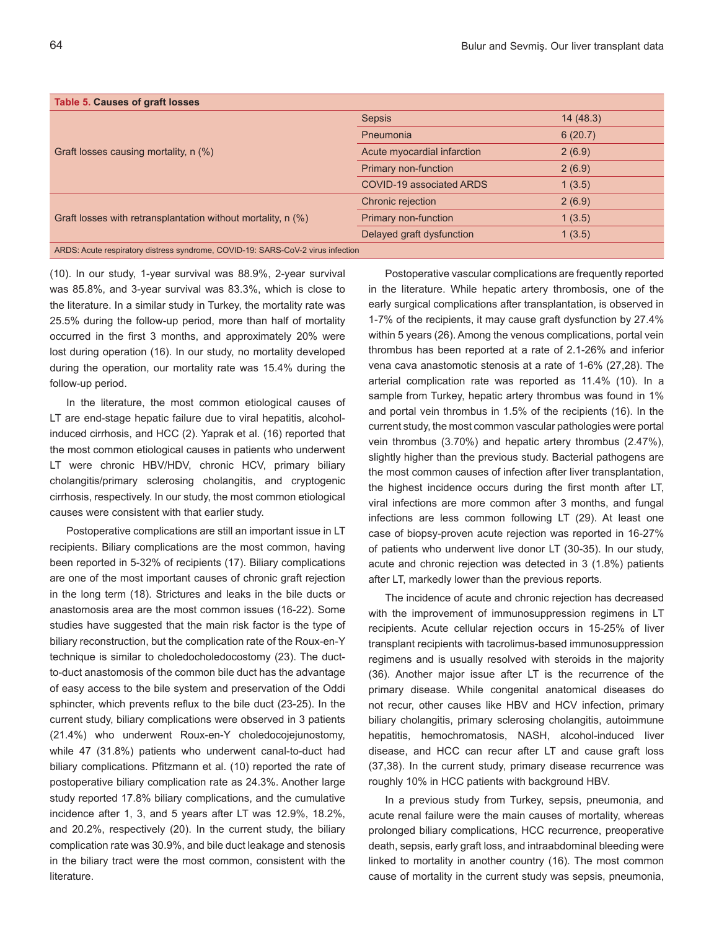| Table 5. Causes of graft losses                                                 |                             |          |
|---------------------------------------------------------------------------------|-----------------------------|----------|
| Graft losses causing mortality, n (%)                                           | <b>Sepsis</b>               | 14(48.3) |
|                                                                                 | Pneumonia                   | 6(20.7)  |
|                                                                                 | Acute myocardial infarction | 2(6.9)   |
|                                                                                 | Primary non-function        | 2(6.9)   |
|                                                                                 | COVID-19 associated ARDS    | 1(3.5)   |
|                                                                                 | Chronic rejection           | 2(6.9)   |
| Graft losses with retransplantation without mortality, n (%)                    | Primary non-function        | 1(3.5)   |
|                                                                                 | Delayed graft dysfunction   | 1(3.5)   |
| ARDS: Acute respiratory distress syndrome, COVID-19: SARS-CoV-2 virus infection |                             |          |

(10). In our study, 1-year survival was 88.9%, 2-year survival was 85.8%, and 3-year survival was 83.3%, which is close to the literature. In a similar study in Turkey, the mortality rate was 25.5% during the follow-up period, more than half of mortality occurred in the first 3 months, and approximately 20% were lost during operation (16). In our study, no mortality developed during the operation, our mortality rate was 15.4% during the follow-up period.

In the literature, the most common etiological causes of LT are end-stage hepatic failure due to viral hepatitis, alcoholinduced cirrhosis, and HCC (2). Yaprak et al. (16) reported that the most common etiological causes in patients who underwent LT were chronic HBV/HDV, chronic HCV, primary biliary cholangitis/primary sclerosing cholangitis, and cryptogenic cirrhosis, respectively. In our study, the most common etiological causes were consistent with that earlier study.

Postoperative complications are still an important issue in LT recipients. Biliary complications are the most common, having been reported in 5-32% of recipients (17). Biliary complications are one of the most important causes of chronic graft rejection in the long term (18). Strictures and leaks in the bile ducts or anastomosis area are the most common issues (16-22). Some studies have suggested that the main risk factor is the type of biliary reconstruction, but the complication rate of the Roux-en-Y technique is similar to choledocholedocostomy (23). The ductto-duct anastomosis of the common bile duct has the advantage of easy access to the bile system and preservation of the Oddi sphincter, which prevents reflux to the bile duct (23-25). In the current study, biliary complications were observed in 3 patients (21.4%) who underwent Roux-en-Y choledocojejunostomy, while 47 (31.8%) patients who underwent canal-to-duct had biliary complications. Pfitzmann et al. (10) reported the rate of postoperative biliary complication rate as 24.3%. Another large study reported 17.8% biliary complications, and the cumulative incidence after 1, 3, and 5 years after LT was 12.9%, 18.2%, and 20.2%, respectively (20). In the current study, the biliary complication rate was 30.9%, and bile duct leakage and stenosis in the biliary tract were the most common, consistent with the literature.

Postoperative vascular complications are frequently reported in the literature. While hepatic artery thrombosis, one of the early surgical complications after transplantation, is observed in 1-7% of the recipients, it may cause graft dysfunction by 27.4% within 5 years (26). Among the venous complications, portal vein thrombus has been reported at a rate of 2.1-26% and inferior vena cava anastomotic stenosis at a rate of 1-6% (27,28). The arterial complication rate was reported as 11.4% (10). In a sample from Turkey, hepatic artery thrombus was found in 1% and portal vein thrombus in 1.5% of the recipients (16). In the current study, the most common vascular pathologies were portal vein thrombus (3.70%) and hepatic artery thrombus (2.47%), slightly higher than the previous study. Bacterial pathogens are the most common causes of infection after liver transplantation, the highest incidence occurs during the first month after LT, viral infections are more common after 3 months, and fungal infections are less common following LT (29). At least one case of biopsy-proven acute rejection was reported in 16-27% of patients who underwent live donor LT (30-35). In our study, acute and chronic rejection was detected in 3 (1.8%) patients after LT, markedly lower than the previous reports.

The incidence of acute and chronic rejection has decreased with the improvement of immunosuppression regimens in LT recipients. Acute cellular rejection occurs in 15-25% of liver transplant recipients with tacrolimus-based immunosuppression regimens and is usually resolved with steroids in the majority (36). Another major issue after LT is the recurrence of the primary disease. While congenital anatomical diseases do not recur, other causes like HBV and HCV infection, primary biliary cholangitis, primary sclerosing cholangitis, autoimmune hepatitis, hemochromatosis, NASH, alcohol-induced liver disease, and HCC can recur after LT and cause graft loss (37,38). In the current study, primary disease recurrence was roughly 10% in HCC patients with background HBV.

In a previous study from Turkey, sepsis, pneumonia, and acute renal failure were the main causes of mortality, whereas prolonged biliary complications, HCC recurrence, preoperative death, sepsis, early graft loss, and intraabdominal bleeding were linked to mortality in another country (16). The most common cause of mortality in the current study was sepsis, pneumonia,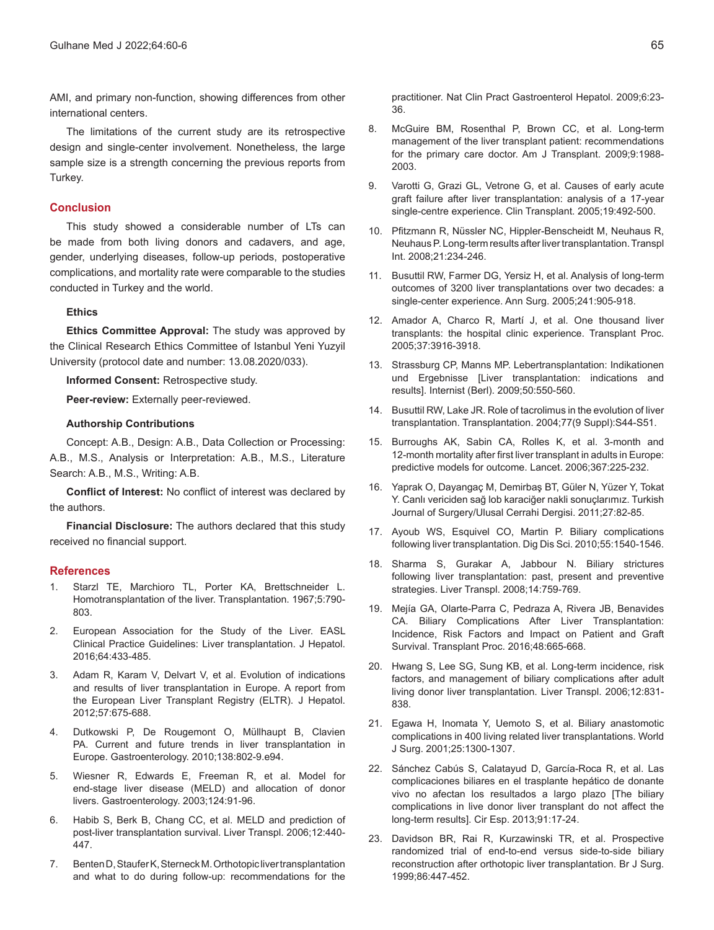AMI, and primary non-function, showing differences from other international centers.

The limitations of the current study are its retrospective design and single-center involvement. Nonetheless, the large sample size is a strength concerning the previous reports from Turkey.

#### **Conclusion**

This study showed a considerable number of LTs can be made from both living donors and cadavers, and age, gender, underlying diseases, follow-up periods, postoperative complications, and mortality rate were comparable to the studies conducted in Turkey and the world.

#### **Ethics**

**Ethics Committee Approval:** The study was approved by the Clinical Research Ethics Committee of Istanbul Yeni Yuzyil University (protocol date and number: 13.08.2020/033).

**Informed Consent:** Retrospective study.

**Peer-review:** Externally peer-reviewed.

#### **Authorship Contributions**

Concept: A.B., Design: A.B., Data Collection or Processing: A.B., M.S., Analysis or Interpretation: A.B., M.S., Literature Search: A.B., M.S., Writing: A.B.

**Conflict of Interest:** No conflict of interest was declared by the authors.

**Financial Disclosure:** The authors declared that this study received no financial support.

#### **References**

- 1. Starzl TE, Marchioro TL, Porter KA, Brettschneider L. Homotransplantation of the liver. Transplantation. 1967;5:790- 803.
- 2. European Association for the Study of the Liver. EASL Clinical Practice Guidelines: Liver transplantation. J Hepatol. 2016;64:433-485.
- 3. Adam R, Karam V, Delvart V, et al. Evolution of indications and results of liver transplantation in Europe. A report from the European Liver Transplant Registry (ELTR). J Hepatol. 2012;57:675-688.
- 4. Dutkowski P, De Rougemont O, Müllhaupt B, Clavien PA. Current and future trends in liver transplantation in Europe. Gastroenterology. 2010;138:802-9.e94.
- 5. Wiesner R, Edwards E, Freeman R, et al. Model for end-stage liver disease (MELD) and allocation of donor livers. Gastroenterology. 2003;124:91-96.
- 6. Habib S, Berk B, Chang CC, et al. MELD and prediction of post-liver transplantation survival. Liver Transpl. 2006;12:440- 447.
- 7. Benten D, Staufer K, Sterneck M. Orthotopic liver transplantation and what to do during follow-up: recommendations for the

practitioner. Nat Clin Pract Gastroenterol Hepatol. 2009;6:23- 36.

- 8. McGuire BM, Rosenthal P, Brown CC, et al. Long-term management of the liver transplant patient: recommendations for the primary care doctor. Am J Transplant. 2009;9:1988- 2003.
- 9. Varotti G, Grazi GL, Vetrone G, et al. Causes of early acute graft failure after liver transplantation: analysis of a 17-year single-centre experience. Clin Transplant. 2005;19:492-500.
- 10. Pfitzmann R, Nüssler NC, Hippler-Benscheidt M, Neuhaus R, Neuhaus P. Long-term results after liver transplantation.Transpl Int. 2008;21:234-246.
- 11. Busuttil RW, Farmer DG, Yersiz H, et al. Analysis of long-term outcomes of 3200 liver transplantations over two decades: a single-center experience. Ann Surg. 2005;241:905-918.
- 12. Amador A, Charco R, Martí J, et al. One thousand liver transplants: the hospital clinic experience. Transplant Proc. 2005;37:3916-3918.
- 13. Strassburg CP, Manns MP. Lebertransplantation: Indikationen und Ergebnisse [Liver transplantation: indications and results]. Internist (Berl). 2009;50:550-560.
- 14. Busuttil RW, Lake JR. Role of tacrolimus in the evolution of liver transplantation. Transplantation. 2004;77(9 Suppl):S44-S51.
- 15. Burroughs AK, Sabin CA, Rolles K, et al. 3-month and 12-month mortality after first liver transplant in adults in Europe: predictive models for outcome. Lancet. 2006;367:225-232.
- 16. Yaprak O, Dayangaç M, Demirbaş BT, Güler N, Yüzer Y, Tokat Y. Canlı vericiden sağ lob karaciğer nakli sonuçlarımız. Turkish Journal of Surgery/Ulusal Cerrahi Dergisi. 2011;27:82-85.
- 17. Ayoub WS, Esquivel CO, Martin P. Biliary complications following liver transplantation. Dig Dis Sci. 2010;55:1540-1546.
- 18. Sharma S, Gurakar A, Jabbour N. Biliary strictures following liver transplantation: past, present and preventive strategies. Liver Transpl. 2008;14:759-769.
- 19. Mejía GA, Olarte-Parra C, Pedraza A, Rivera JB, Benavides CA. Biliary Complications After Liver Transplantation: Incidence, Risk Factors and Impact on Patient and Graft Survival. Transplant Proc. 2016;48:665-668.
- 20. Hwang S, Lee SG, Sung KB, et al. Long-term incidence, risk factors, and management of biliary complications after adult living donor liver transplantation. Liver Transpl. 2006;12:831- 838.
- 21. Egawa H, Inomata Y, Uemoto S, et al. Biliary anastomotic complications in 400 living related liver transplantations. World J Surg. 2001;25:1300-1307.
- 22. Sánchez Cabús S, Calatayud D, García-Roca R, et al. Las complicaciones biliares en el trasplante hepático de donante vivo no afectan los resultados a largo plazo [The biliary complications in live donor liver transplant do not affect the long-term results]. Cir Esp. 2013;91:17-24.
- 23. Davidson BR, Rai R, Kurzawinski TR, et al. Prospective randomized trial of end-to-end versus side-to-side biliary reconstruction after orthotopic liver transplantation. Br J Surg. 1999;86:447-452.